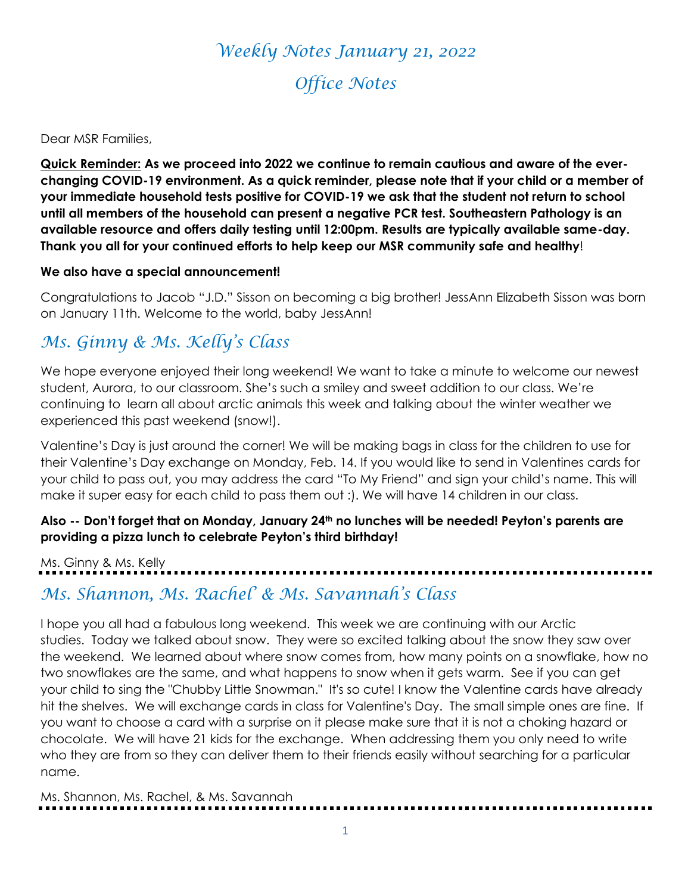# *Weekly Notes January 21, 2022 Office Notes*

#### Dear MSR Families,

**Quick Reminder: As we proceed into 2022 we continue to remain cautious and aware of the everchanging COVID-19 environment. As a quick reminder, please note that if your child or a member of your immediate household tests positive for COVID-19 we ask that the student not return to school until all members of the household can present a negative PCR test. Southeastern Pathology is an available resource and offers daily testing until 12:00pm. Results are typically available same-day. Thank you all for your continued efforts to help keep our MSR community safe and healthy**!

#### **We also have a special announcement!**

Congratulations to Jacob "J.D." Sisson on becoming a big brother! JessAnn Elizabeth Sisson was born on January 11th. Welcome to the world, baby JessAnn!

### *Ms. Ginny & Ms. Kelly's Class*

We hope everyone enjoyed their long weekend! We want to take a minute to welcome our newest student, Aurora, to our classroom. She's such a smiley and sweet addition to our class. We're continuing to learn all about arctic animals this week and talking about the winter weather we experienced this past weekend (snow!).

Valentine's Day is just around the corner! We will be making bags in class for the children to use for their Valentine's Day exchange on Monday, Feb. 14. If you would like to send in Valentines cards for your child to pass out, you may address the card "To My Friend" and sign your child's name. This will make it super easy for each child to pass them out :). We will have 14 children in our class.

### **Also -- Don't forget that on Monday, January 24th no lunches will be needed! Peyton's parents are providing a pizza lunch to celebrate Peyton's third birthday!**

Ms. Ginny & Ms. Kelly

### *Ms. Shannon, Ms. Rachel' & Ms. Savannah's Class*

I hope you all had a fabulous long weekend. This week we are continuing with our Arctic studies. Today we talked about snow. They were so excited talking about the snow they saw over the weekend. We learned about where snow comes from, how many points on a snowflake, how no two snowflakes are the same, and what happens to snow when it gets warm. See if you can get your child to sing the "Chubby Little Snowman." It's so cute! I know the Valentine cards have already hit the shelves. We will exchange cards in class for Valentine's Day. The small simple ones are fine. If you want to choose a card with a surprise on it please make sure that it is not a choking hazard or chocolate. We will have 21 kids for the exchange. When addressing them you only need to write who they are from so they can deliver them to their friends easily without searching for a particular name.

Ms. Shannon, Ms. Rachel, & Ms. Savannah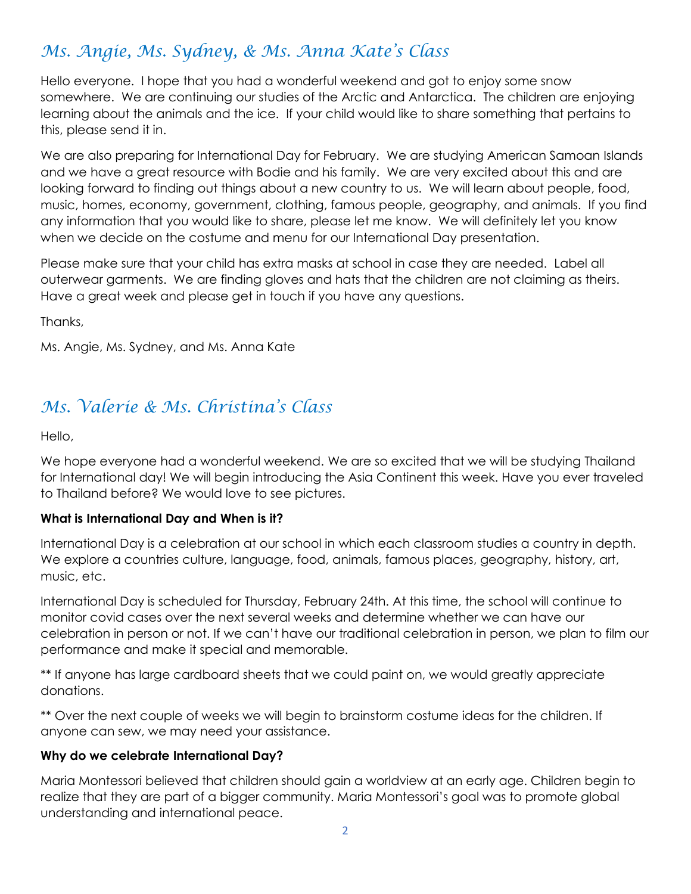# *Ms. Angie, Ms. Sydney, & Ms. Anna Kate's Class*

Hello everyone. I hope that you had a wonderful weekend and got to enjoy some snow somewhere. We are continuing our studies of the Arctic and Antarctica. The children are enjoying learning about the animals and the ice. If your child would like to share something that pertains to this, please send it in.

We are also preparing for International Day for February. We are studying American Samoan Islands and we have a great resource with Bodie and his family. We are very excited about this and are looking forward to finding out things about a new country to us. We will learn about people, food, music, homes, economy, government, clothing, famous people, geography, and animals. If you find any information that you would like to share, please let me know. We will definitely let you know when we decide on the costume and menu for our International Day presentation.

Please make sure that your child has extra masks at school in case they are needed. Label all outerwear garments. We are finding gloves and hats that the children are not claiming as theirs. Have a great week and please get in touch if you have any questions.

Thanks,

Ms. Angie, Ms. Sydney, and Ms. Anna Kate

# *Ms. Valerie & Ms. Christina's Class*

Hello,

We hope everyone had a wonderful weekend. We are so excited that we will be studying Thailand for International day! We will begin introducing the Asia Continent this week. Have you ever traveled to Thailand before? We would love to see pictures.

### **What is International Day and When is it?**

International Day is a celebration at our school in which each classroom studies a country in depth. We explore a countries culture, language, food, animals, famous places, geography, history, art, music, etc.

International Day is scheduled for Thursday, February 24th. At this time, the school will continue to monitor covid cases over the next several weeks and determine whether we can have our celebration in person or not. If we can't have our traditional celebration in person, we plan to film our performance and make it special and memorable.

\*\* If anyone has large cardboard sheets that we could paint on, we would greatly appreciate donations.

\*\* Over the next couple of weeks we will begin to brainstorm costume ideas for the children. If anyone can sew, we may need your assistance.

### **Why do we celebrate International Day?**

Maria Montessori believed that children should gain a worldview at an early age. Children begin to realize that they are part of a bigger community. Maria Montessori's goal was to promote global understanding and international peace.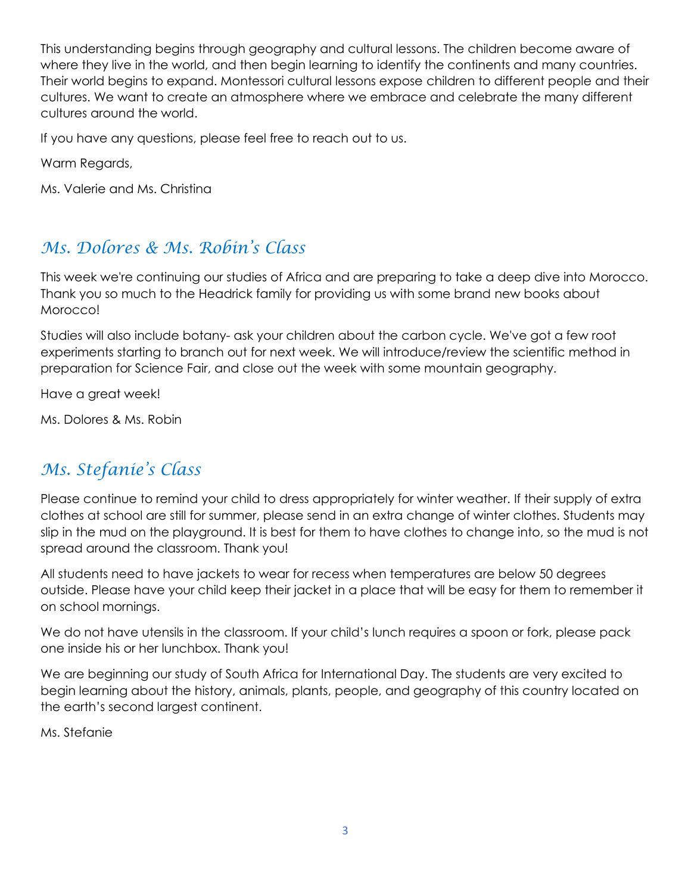This understanding begins through geography and cultural lessons. The children become aware of where they live in the world, and then begin learning to identify the continents and many countries. Their world begins to expand. Montessori cultural lessons expose children to different people and their cultures. We want to create an atmosphere where we embrace and celebrate the many different cultures around the world.

If you have any questions, please feel free to reach out to us.

Warm Regards,

Ms. Valerie and Ms. Christina

### *Ms. Dolores & Ms. Robin's Class*

This week we're continuing our studies of Africa and are preparing to take a deep dive into Morocco. Thank you so much to the Headrick family for providing us with some brand new books about Morocco!

Studies will also include botany- ask your children about the carbon cycle. We've got a few root experiments starting to branch out for next week. We will introduce/review the scientific method in preparation for Science Fair, and close out the week with some mountain geography.

Have a great week!

Ms. Dolores & Ms. Robin

# *Ms. Stefanie's Class*

Please continue to remind your child to dress appropriately for winter weather. If their supply of extra clothes at school are still for summer, please send in an extra change of winter clothes. Students may slip in the mud on the playground. It is best for them to have clothes to change into, so the mud is not spread around the classroom. Thank you!

All students need to have jackets to wear for recess when temperatures are below 50 degrees outside. Please have your child keep their jacket in a place that will be easy for them to remember it on school mornings.

We do not have utensils in the classroom. If your child's lunch requires a spoon or fork, please pack one inside his or her lunchbox. Thank you!

We are beginning our study of South Africa for International Day. The students are very excited to begin learning about the history, animals, plants, people, and geography of this country located on the earth's second largest continent.

Ms. Stefanie